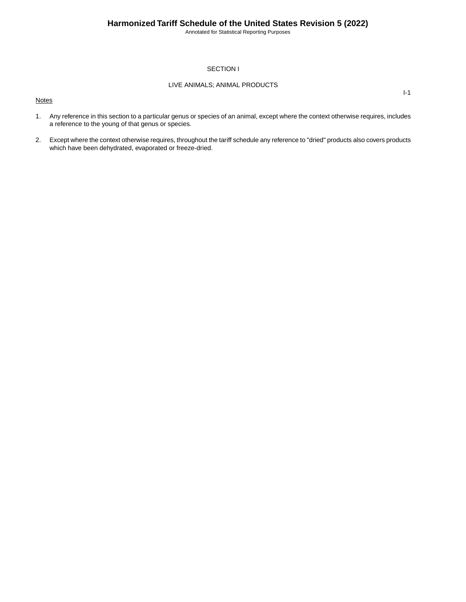Annotated for Statistical Reporting Purposes

I-1

### SECTION I

### LIVE ANIMALS; ANIMAL PRODUCTS

**Notes** 

- 1. Any reference in this section to a particular genus or species of an animal, except where the context otherwise requires, includes a reference to the young of that genus or species.
- 2. Except where the context otherwise requires, throughout the tariff schedule any reference to "dried" products also covers products which have been dehydrated, evaporated or freeze-dried.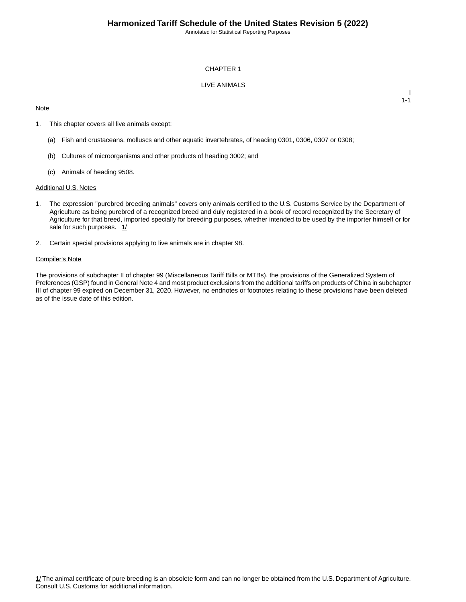Annotated for Statistical Reporting Purposes

I 1-1

### CHAPTER 1

### LIVE ANIMALS

### **Note**

1. This chapter covers all live animals except:

- (a) Fish and crustaceans, molluscs and other aquatic invertebrates, of heading 0301, 0306, 0307 or 0308;
- (b) Cultures of microorganisms and other products of heading 3002; and
- (c) Animals of heading 9508.

#### Additional U.S. Notes

- 1. The expression "purebred breeding animals" covers only animals certified to the U.S. Customs Service by the Department of Agriculture as being purebred of a recognized breed and duly registered in a book of record recognized by the Secretary of Agriculture for that breed, imported specially for breeding purposes, whether intended to be used by the importer himself or for sale for such purposes. 1/
- 2. Certain special provisions applying to live animals are in chapter 98.

#### Compiler's Note

The provisions of subchapter II of chapter 99 (Miscellaneous Tariff Bills or MTBs), the provisions of the Generalized System of Preferences (GSP) found in General Note 4 and most product exclusions from the additional tariffs on products of China in subchapter III of chapter 99 expired on December 31, 2020. However, no endnotes or footnotes relating to these provisions have been deleted as of the issue date of this edition.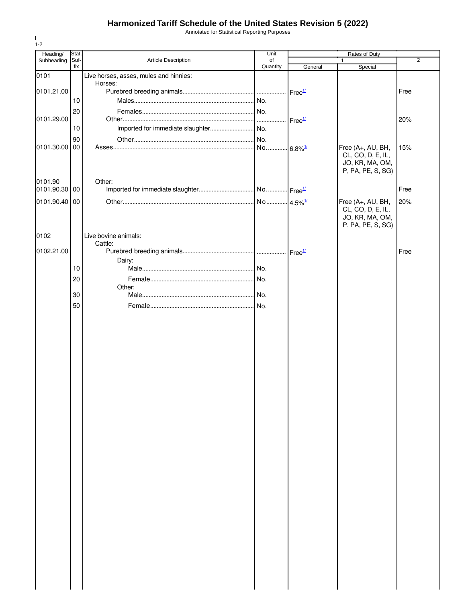Annotated for Statistical Reporting Purposes

| Stat.                         |                                                             |                                                                                                            | Rates of Duty  |                                                                                                             |                                                   |  |
|-------------------------------|-------------------------------------------------------------|------------------------------------------------------------------------------------------------------------|----------------|-------------------------------------------------------------------------------------------------------------|---------------------------------------------------|--|
|                               |                                                             |                                                                                                            |                |                                                                                                             | $\overline{2}$                                    |  |
|                               |                                                             |                                                                                                            |                |                                                                                                             |                                                   |  |
|                               | Horses:                                                     |                                                                                                            |                |                                                                                                             |                                                   |  |
|                               |                                                             |                                                                                                            |                |                                                                                                             | Free                                              |  |
|                               |                                                             |                                                                                                            |                |                                                                                                             |                                                   |  |
|                               |                                                             |                                                                                                            |                |                                                                                                             |                                                   |  |
|                               |                                                             |                                                                                                            |                |                                                                                                             | 20%                                               |  |
|                               |                                                             |                                                                                                            |                |                                                                                                             |                                                   |  |
|                               |                                                             |                                                                                                            |                |                                                                                                             | 15%                                               |  |
|                               |                                                             |                                                                                                            |                | CL, CO, D, E, IL,<br>JO, KR, MA, OM,<br>P, PA, PE, S, SG)                                                   |                                                   |  |
|                               | Other:                                                      |                                                                                                            |                |                                                                                                             |                                                   |  |
| 0101.90.30                    |                                                             |                                                                                                            |                |                                                                                                             | Free                                              |  |
| 0101.90.40<br>$\overline{00}$ |                                                             |                                                                                                            |                | Free (A+, AU, BH,                                                                                           | 20%                                               |  |
|                               |                                                             |                                                                                                            |                | JO, KR, MA, OM,<br>P, PA, PE, S, SG)                                                                        |                                                   |  |
|                               |                                                             |                                                                                                            |                |                                                                                                             |                                                   |  |
|                               |                                                             |                                                                                                            |                |                                                                                                             | Free                                              |  |
|                               | Dairy:                                                      |                                                                                                            |                |                                                                                                             |                                                   |  |
| 10                            |                                                             |                                                                                                            |                |                                                                                                             |                                                   |  |
| 20                            |                                                             |                                                                                                            |                |                                                                                                             |                                                   |  |
|                               |                                                             |                                                                                                            |                |                                                                                                             |                                                   |  |
|                               |                                                             |                                                                                                            |                |                                                                                                             |                                                   |  |
|                               |                                                             |                                                                                                            |                |                                                                                                             |                                                   |  |
|                               |                                                             |                                                                                                            |                |                                                                                                             |                                                   |  |
|                               | Suf-<br>fix<br>10<br>20<br>10<br>90<br>00<br>00<br>30<br>50 | Article Description<br>Live horses, asses, mules and hinnies:<br>Live bovine animals:<br>Cattle:<br>Other: | of<br>Quantity | Unit<br>General<br>Free <sup>1/</sup><br>Free <sup>1/</sup><br>$-6.8\%$ <sup>1/</sup><br>Free <sup>1/</sup> | Special<br>Free (A+, AU, BH,<br>CL, CO, D, E, IL, |  |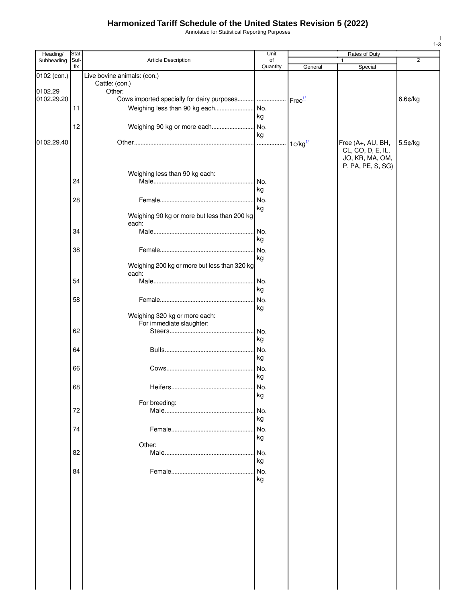Annotated for Statistical Reporting Purposes

| Heading/              | Stat.       |                                              | Unit           |                               | Rates of Duty                        |         |
|-----------------------|-------------|----------------------------------------------|----------------|-------------------------------|--------------------------------------|---------|
| Subheading            | Suf-<br>fix | Article Description                          | of<br>Quantity | General                       | 1<br>Special                         | 2       |
| 0102 (con.)           |             | Live bovine animals: (con.)                  |                |                               |                                      |         |
|                       |             | Cattle: (con.)                               |                |                               |                                      |         |
| 0102.29<br>0102.29.20 |             | Other:                                       |                | Free <sup>1/</sup>            |                                      | 6.6¢/kg |
|                       | 11          | Weighing less than 90 kg each                | No.            |                               |                                      |         |
|                       |             |                                              | kg             |                               |                                      |         |
|                       | 12          |                                              |                |                               |                                      |         |
|                       |             |                                              | kg             |                               |                                      |         |
| 0102.29.40            |             |                                              |                | $1 \text{C/kg}$ <sup>1/</sup> | Free (A+, AU, BH,                    | 5.5¢/kg |
|                       |             |                                              |                |                               | CL, CO, D, E, IL,<br>JO, KR, MA, OM, |         |
|                       |             |                                              |                |                               | P, PA, PE, S, SG)                    |         |
|                       |             | Weighing less than 90 kg each:               |                |                               |                                      |         |
|                       | 24          |                                              | No.<br>kg      |                               |                                      |         |
|                       |             |                                              |                |                               |                                      |         |
|                       | 28          |                                              | No.<br>kg      |                               |                                      |         |
|                       |             | Weighing 90 kg or more but less than 200 kg  |                |                               |                                      |         |
|                       |             | each:                                        |                |                               |                                      |         |
|                       | 34          |                                              | No.            |                               |                                      |         |
|                       |             |                                              | kg             |                               |                                      |         |
|                       | 38          |                                              | No.<br>kg      |                               |                                      |         |
|                       |             | Weighing 200 kg or more but less than 320 kg |                |                               |                                      |         |
|                       |             | each:                                        |                |                               |                                      |         |
|                       | 54          |                                              | No.            |                               |                                      |         |
|                       |             |                                              | kg             |                               |                                      |         |
|                       | 58          |                                              | No.<br>kg      |                               |                                      |         |
|                       |             | Weighing 320 kg or more each:                |                |                               |                                      |         |
|                       |             | For immediate slaughter:                     |                |                               |                                      |         |
|                       | 62          |                                              | No.            |                               |                                      |         |
|                       |             |                                              | kg             |                               |                                      |         |
|                       | 64          |                                              | No.<br>kg      |                               |                                      |         |
|                       | 66          |                                              | No.            |                               |                                      |         |
|                       |             |                                              | kg             |                               |                                      |         |
|                       | 68          | Heifers<br>.                                 | No.            |                               |                                      |         |
|                       |             |                                              | kg             |                               |                                      |         |
|                       |             | For breeding:                                |                |                               |                                      |         |
|                       | 72          |                                              | No.<br>kg      |                               |                                      |         |
|                       | 74          |                                              | No.            |                               |                                      |         |
|                       |             |                                              | kg             |                               |                                      |         |
|                       |             | Other:                                       |                |                               |                                      |         |
|                       | 82          |                                              | No.            |                               |                                      |         |
|                       |             |                                              | kg             |                               |                                      |         |
|                       | 84          |                                              | No.<br>kg      |                               |                                      |         |
|                       |             |                                              |                |                               |                                      |         |
|                       |             |                                              |                |                               |                                      |         |
|                       |             |                                              |                |                               |                                      |         |
|                       |             |                                              |                |                               |                                      |         |
|                       |             |                                              |                |                               |                                      |         |
|                       |             |                                              |                |                               |                                      |         |
|                       |             |                                              |                |                               |                                      |         |
|                       |             |                                              |                |                               |                                      |         |
|                       |             |                                              |                |                               |                                      |         |
|                       |             |                                              |                |                               |                                      |         |
|                       |             |                                              |                |                               |                                      |         |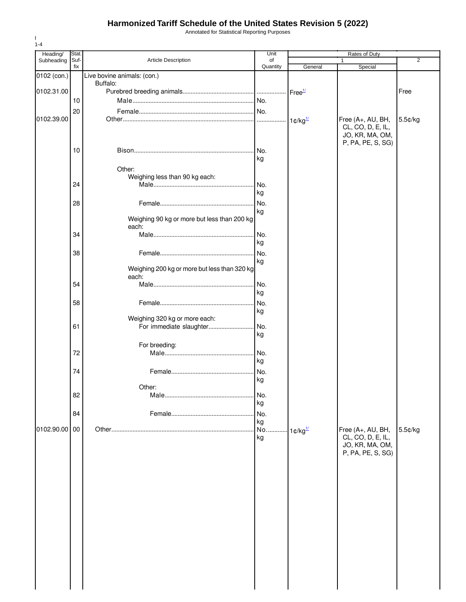Annotated for Statistical Reporting Purposes

| Heading/      | Stat.       |                                                          | Unit           | Rates of Duty         |                                                                                |                |
|---------------|-------------|----------------------------------------------------------|----------------|-----------------------|--------------------------------------------------------------------------------|----------------|
| Subheading    | Suf-<br>fix | Article Description                                      | of<br>Quantity | General               | 1<br>Special                                                                   | $\overline{2}$ |
| 0102 (con.)   |             | Live bovine animals: (con.)                              |                |                       |                                                                                |                |
|               |             | Buffalo:                                                 |                |                       |                                                                                |                |
| 0102.31.00    |             |                                                          |                | Free <sup>1/</sup>    |                                                                                | Free           |
|               | 10          |                                                          |                |                       |                                                                                |                |
|               | 20          |                                                          |                |                       |                                                                                |                |
| 0102.39.00    |             |                                                          |                | $1 \text{C/kg}^{1/2}$ | Free (A+, AU, BH,<br>CL, CO, D, E, IL,<br>JO, KR, MA, OM,<br>P, PA, PE, S, SG) | 5.5¢/kg        |
|               | 10          |                                                          | No.<br>kg      |                       |                                                                                |                |
|               |             | Other:                                                   |                |                       |                                                                                |                |
|               |             | Weighing less than 90 kg each:                           |                |                       |                                                                                |                |
|               | 24          |                                                          | No.            |                       |                                                                                |                |
|               |             |                                                          | kg             |                       |                                                                                |                |
|               | 28          |                                                          | No.<br>kg      |                       |                                                                                |                |
|               |             | Weighing 90 kg or more but less than 200 kg<br>each:     |                |                       |                                                                                |                |
|               | 34          |                                                          | No.            |                       |                                                                                |                |
|               |             |                                                          | kg             |                       |                                                                                |                |
|               | 38          |                                                          | No.            |                       |                                                                                |                |
|               |             | Weighing 200 kg or more but less than 320 kg<br>each:    | kg             |                       |                                                                                |                |
|               | 54          |                                                          | No.            |                       |                                                                                |                |
|               |             |                                                          | kg             |                       |                                                                                |                |
|               | 58          |                                                          | No.            |                       |                                                                                |                |
|               |             |                                                          | kg             |                       |                                                                                |                |
|               | 61          | Weighing 320 kg or more each:<br>For immediate slaughter | No.            |                       |                                                                                |                |
|               |             |                                                          | kg             |                       |                                                                                |                |
|               |             | For breeding:                                            |                |                       |                                                                                |                |
|               | 72          |                                                          | No.            |                       |                                                                                |                |
|               |             |                                                          | kg             |                       |                                                                                |                |
|               | 74          |                                                          | No.            |                       |                                                                                |                |
|               |             |                                                          | kg             |                       |                                                                                |                |
|               | 82          | Other:                                                   | No.            |                       |                                                                                |                |
|               |             |                                                          | kg             |                       |                                                                                |                |
|               | 84          |                                                          | No.            |                       |                                                                                |                |
|               |             |                                                          | kg             |                       |                                                                                |                |
| 0102.90.00 00 |             |                                                          | No.            | $1 \text{C/kg}$       | Free (A+, AU, BH,                                                              | 5.5¢/kg        |
|               |             |                                                          | kg             |                       | CL, CO, D, E, IL,<br>JO, KR, MA, OM,<br>P, PA, PE, S, SG)                      |                |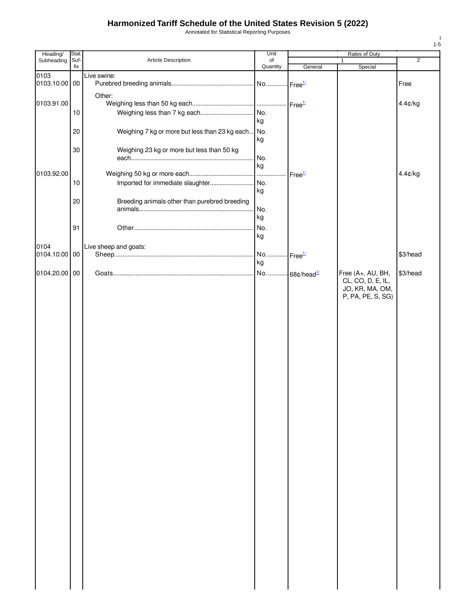Annotated for Statistical Reporting Purposes

| Stat. |                                                                                      | Unit                                                                                                                                      | Rates of Duty                                                                                           |                                                                                                             |                                                                   |
|-------|--------------------------------------------------------------------------------------|-------------------------------------------------------------------------------------------------------------------------------------------|---------------------------------------------------------------------------------------------------------|-------------------------------------------------------------------------------------------------------------|-------------------------------------------------------------------|
| fix   |                                                                                      | Quantity                                                                                                                                  |                                                                                                         |                                                                                                             | $\overline{2}$                                                    |
| 00    | Live swine:                                                                          |                                                                                                                                           |                                                                                                         |                                                                                                             | Free                                                              |
|       | Other:                                                                               |                                                                                                                                           |                                                                                                         |                                                                                                             | 4.4¢/kg                                                           |
| 10    |                                                                                      | kg                                                                                                                                        |                                                                                                         |                                                                                                             |                                                                   |
| 20    |                                                                                      | kg                                                                                                                                        |                                                                                                         |                                                                                                             |                                                                   |
| 30    | Weighing 23 kg or more but less than 50 kg                                           |                                                                                                                                           |                                                                                                         |                                                                                                             |                                                                   |
|       |                                                                                      |                                                                                                                                           |                                                                                                         |                                                                                                             | 4.4¢/kg                                                           |
|       |                                                                                      |                                                                                                                                           |                                                                                                         |                                                                                                             |                                                                   |
|       |                                                                                      | kg                                                                                                                                        |                                                                                                         |                                                                                                             |                                                                   |
|       |                                                                                      |                                                                                                                                           |                                                                                                         |                                                                                                             |                                                                   |
|       |                                                                                      |                                                                                                                                           |                                                                                                         |                                                                                                             |                                                                   |
| 91    |                                                                                      | No.                                                                                                                                       |                                                                                                         |                                                                                                             |                                                                   |
|       |                                                                                      |                                                                                                                                           |                                                                                                         |                                                                                                             |                                                                   |
|       |                                                                                      |                                                                                                                                           |                                                                                                         |                                                                                                             | \$3/head                                                          |
|       |                                                                                      |                                                                                                                                           |                                                                                                         |                                                                                                             | \$3/head                                                          |
|       |                                                                                      |                                                                                                                                           |                                                                                                         | JO, KR, MA, OM,<br>P, PA, PE, S, SG)                                                                        |                                                                   |
|       | 0103.10.00<br>0103.91.00<br>0103.92.00<br>10<br>20<br>0104.10.00 00<br>0104.20.00 00 | Suf-<br>Article Description<br>Imported for immediate slaughter<br>Breeding animals other than purebred breeding<br>Live sheep and goats: | of<br>Weighing 7 kg or more but less than 23 kg each No.<br>No.<br>kg<br>. No.<br>No.<br>kg<br>kg<br>kg | General<br>- Free <sup>1/</sup><br>Free <sup>1/</sup><br>No Free <sup>1/</sup><br>No 68¢/head <sup>1/</sup> | $\mathbf{1}$<br>Special<br>Free (A+, AU, BH,<br>CL, CO, D, E, IL, |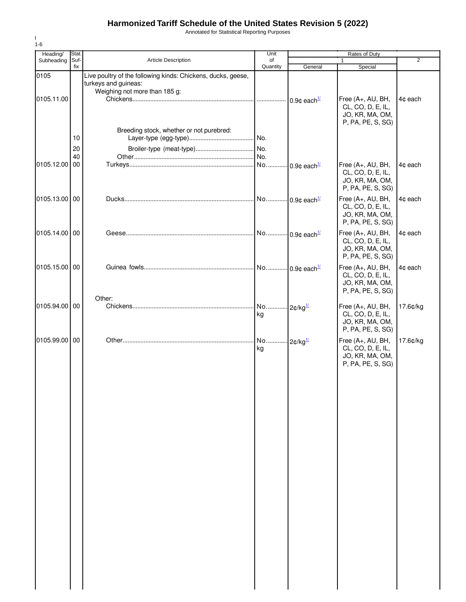Annotated for Statistical Reporting Purposes

| Heading/   | Stat.    |                                                              | Unit                         |                             | <b>Rates of Duty</b>                                                           |                |
|------------|----------|--------------------------------------------------------------|------------------------------|-----------------------------|--------------------------------------------------------------------------------|----------------|
| Subheading | Suf-     | <b>Article Description</b>                                   | of                           |                             | 1                                                                              | $\overline{2}$ |
| 0105       | fix      | Live poultry of the following kinds: Chickens, ducks, geese, | Quantity                     | General                     | Special                                                                        |                |
| 0105.11.00 |          | turkeys and guineas:<br>Weighing not more than 185 g:        |                              |                             | Free (A+, AU, BH,                                                              | 4¢ each        |
|            |          |                                                              |                              |                             | CL, CO, D, E, IL,<br>JO, KR, MA, OM,<br>P, PA, PE, S, SG)                      |                |
|            | 10       | Breeding stock, whether or not purebred:                     | No.                          |                             |                                                                                |                |
|            | 20<br>40 |                                                              | No.<br>.lNo.                 |                             |                                                                                |                |
| 0105.12.00 | 00       |                                                              |                              | No  0.9¢ each <sup>1/</sup> | Free (A+, AU, BH,<br>CL, CO, D, E, IL,<br>JO, KR, MA, OM,<br>P, PA, PE, S, SG) | 4¢ each        |
| 0105.13.00 | 00       |                                                              |                              | No 0.9¢ each <sup>1/</sup>  | Free (A+, AU, BH,<br>CL, CO, D, E, IL,<br>JO, KR, MA, OM,<br>P, PA, PE, S, SG) | 4¢ each        |
| 0105.14.00 | 00       |                                                              |                              | No  0.9¢ each <sup>1/</sup> | Free (A+, AU, BH,<br>CL, CO, D, E, IL,<br>JO, KR, MA, OM,<br>P, PA, PE, S, SG) | 4¢ each        |
| 0105.15.00 | 00       | Other:                                                       |                              | No 0.9¢ each <sup>1/</sup>  | Free (A+, AU, BH,<br>CL, CO, D, E, IL,<br>JO, KR, MA, OM,<br>P, PA, PE, S, SG) | 4¢ each        |
| 0105.94.00 | 00       |                                                              | No 2¢/kg <sup>1/</sup><br>kg |                             | Free (A+, AU, BH,<br>CL, CO, D, E, IL,<br>JO, KR, MA, OM,<br>P, PA, PE, S, SG) | 17.6¢/kg       |
| 0105.99.00 | 00       |                                                              | No<br>kg                     | $-2$ c/kg $\frac{1}{2}$     | Free (A+, AU, BH,<br>CL, CO, D, E, IL,<br>JO, KR, MA, OM,<br>P, PA, PE, S, SG) | 17.6¢/kg       |
|            |          |                                                              |                              |                             |                                                                                |                |
|            |          |                                                              |                              |                             |                                                                                |                |
|            |          |                                                              |                              |                             |                                                                                |                |
|            |          |                                                              |                              |                             |                                                                                |                |
|            |          |                                                              |                              |                             |                                                                                |                |
|            |          |                                                              |                              |                             |                                                                                |                |
|            |          |                                                              |                              |                             |                                                                                |                |
|            |          |                                                              |                              |                             |                                                                                |                |
|            |          |                                                              |                              |                             |                                                                                |                |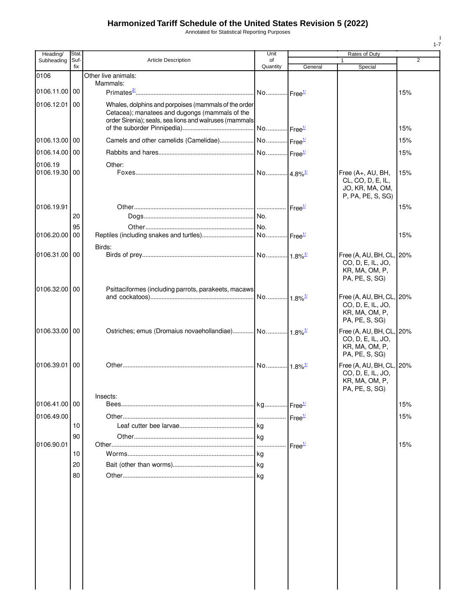Annotated for Statistical Reporting Purposes

| Heading/      | Stat.       |                                                                                                        | Unit                  |                    | Rates of Duty                        |                |
|---------------|-------------|--------------------------------------------------------------------------------------------------------|-----------------------|--------------------|--------------------------------------|----------------|
| Subheading    | Suf-<br>fix | <b>Article Description</b>                                                                             | οf<br>Quantity        | General            | 1<br>Special                         | $\overline{2}$ |
| 0106          |             | Other live animals:                                                                                    |                       |                    |                                      |                |
| 0106.11.00 00 |             | Mammals:                                                                                               |                       |                    |                                      |                |
|               |             |                                                                                                        |                       |                    |                                      | 15%            |
| 0106.12.01    | 00          | Whales, dolphins and porpoises (mammals of the order<br>Cetacea); manatees and dugongs (mammals of the |                       |                    |                                      |                |
|               |             | order Sirenia); seals, sea lions and walruses (mammals                                                 |                       |                    |                                      |                |
|               |             |                                                                                                        |                       |                    |                                      | 15%            |
| 0106.13.00 00 |             |                                                                                                        |                       |                    |                                      | 15%            |
| 0106.14.00 00 |             |                                                                                                        |                       |                    |                                      | 15%            |
| 0106.19       |             | Other:                                                                                                 |                       |                    |                                      |                |
| 0106.19.30 00 |             |                                                                                                        |                       |                    | Free (A+, AU, BH,                    | 15%            |
|               |             |                                                                                                        |                       |                    | CL, CO, D, E, IL,<br>JO, KR, MA, OM, |                |
|               |             |                                                                                                        |                       |                    | P, PA, PE, S, SG)                    |                |
| 0106.19.91    |             |                                                                                                        |                       |                    |                                      | 15%            |
|               | 20          |                                                                                                        |                       |                    |                                      |                |
| 0106.20.00 00 | 95          |                                                                                                        |                       | Free <sup>1/</sup> |                                      | 15%            |
|               |             | Birds:                                                                                                 |                       |                    |                                      |                |
| 0106.31.00 00 |             |                                                                                                        |                       |                    | Free (A, AU, BH, CL, 20%             |                |
|               |             |                                                                                                        |                       |                    | CO, D, E, IL, JO,                    |                |
|               |             |                                                                                                        |                       |                    | KR, MA, OM, P,<br>PA, PE, S, SG)     |                |
| 0106.32.00 00 |             | Psittaciformes (including parrots, parakeets, macaws)                                                  |                       |                    |                                      |                |
|               |             |                                                                                                        |                       |                    | Free (A, AU, BH, CL, 20%             |                |
|               |             |                                                                                                        |                       |                    | CO, D, E, IL, JO,<br>KR, MA, OM, P,  |                |
|               |             |                                                                                                        |                       |                    | PA, PE, S, SG)                       |                |
| 0106.33.00 00 |             | Ostriches; emus (Dromaius novaehollandiae)  No  1.8% <sup>1/</sup>                                     |                       |                    | Free (A, AU, BH, CL, 20%             |                |
|               |             |                                                                                                        |                       |                    | CO, D, E, IL, JO,<br>KR, MA, OM, P,  |                |
|               |             |                                                                                                        |                       |                    | PA, PE, S, SG)                       |                |
| 0106.39.01    | <b>100</b>  |                                                                                                        | No 1.8% <sup>1/</sup> |                    | Free (A, AU, BH, CL, 20%             |                |
|               |             |                                                                                                        |                       |                    | CO, D, E, IL, JO,                    |                |
|               |             |                                                                                                        |                       |                    | KR, MA, OM, P,<br>PA, PE, S, SG)     |                |
|               |             | Insects:                                                                                               |                       |                    |                                      |                |
| 0106.41.00 00 |             |                                                                                                        |                       |                    |                                      | 15%            |
| 0106.49.00    |             |                                                                                                        |                       | Free <sup>1/</sup> |                                      | 15%            |
|               | 10<br>90    |                                                                                                        |                       |                    |                                      |                |
| 0106.90.01    |             |                                                                                                        | 1.1.1.1<br>.          | Free <sup>1/</sup> |                                      | 15%            |
|               | 10          |                                                                                                        |                       |                    |                                      |                |
|               | 20          |                                                                                                        |                       |                    |                                      |                |
|               | 80          |                                                                                                        |                       |                    |                                      |                |
|               |             |                                                                                                        |                       |                    |                                      |                |
|               |             |                                                                                                        |                       |                    |                                      |                |
|               |             |                                                                                                        |                       |                    |                                      |                |
|               |             |                                                                                                        |                       |                    |                                      |                |
|               |             |                                                                                                        |                       |                    |                                      |                |
|               |             |                                                                                                        |                       |                    |                                      |                |
|               |             |                                                                                                        |                       |                    |                                      |                |
|               |             |                                                                                                        |                       |                    |                                      |                |
|               |             |                                                                                                        |                       |                    |                                      |                |
|               |             |                                                                                                        |                       |                    |                                      |                |